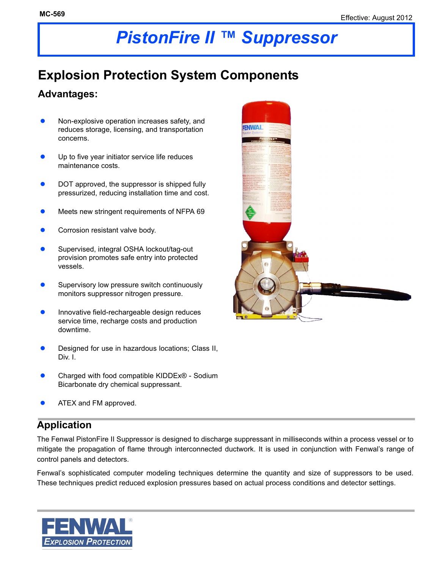# *PistonFire II ™ Suppressor*

## **Explosion Protection System Components**

#### **Advantages:**

- Non-explosive operation increases safety, and reduces storage, licensing, and transportation concerns.
- Up to five year initiator service life reduces maintenance costs.
- DOT approved, the suppressor is shipped fully pressurized, reducing installation time and cost.
- **Meets new stringent requirements of NFPA 69**
- Corrosion resistant valve body.
- Supervised, integral OSHA lockout/tag-out provision promotes safe entry into protected vessels.
- Supervisory low pressure switch continuously monitors suppressor nitrogen pressure.
- Innovative field-rechargeable design reduces service time, recharge costs and production downtime.
- Designed for use in hazardous locations; Class II, Div. I.
- Charged with food compatible KIDDEx® Sodium Bicarbonate dry chemical suppressant.
- ATEX and FM approved.

#### **Application**

The Fenwal PistonFire II Suppressor is designed to discharge suppressant in milliseconds within a process vessel or to mitigate the propagation of flame through interconnected ductwork. It is used in conjunction with Fenwal's range of control panels and detectors.

Fenwal's sophisticated computer modeling techniques determine the quantity and size of suppressors to be used. These techniques predict reduced explosion pressures based on actual process conditions and detector settings.